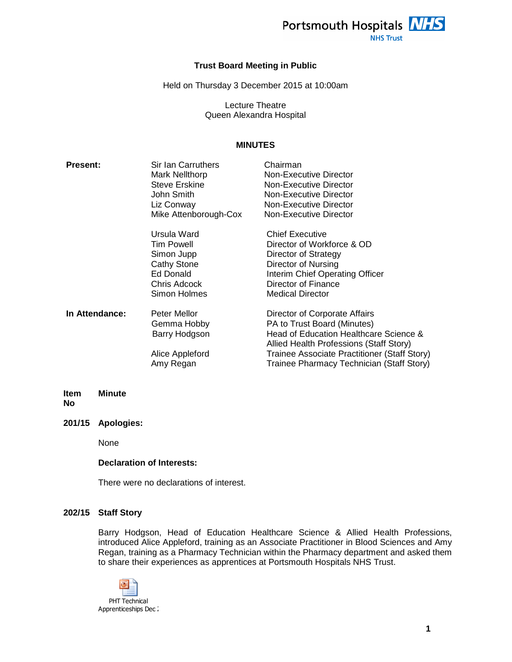

**NHS Trust** 

## **Trust Board Meeting in Public**

Held on Thursday 3 December 2015 at 10:00am

Lecture Theatre Queen Alexandra Hospital

# **MINUTES**

| <b>Present:</b> | Sir Ian Carruthers<br>Mark Nellthorp<br><b>Steve Erskine</b><br>John Smith<br>Liz Conway<br>Mike Attenborough-Cox<br>Ursula Ward<br><b>Tim Powell</b> | Chairman<br>Non-Executive Director<br><b>Non-Executive Director</b><br>Non-Executive Director<br>Non-Executive Director<br>Non-Executive Director<br><b>Chief Executive</b><br>Director of Workforce & OD                                      |
|-----------------|-------------------------------------------------------------------------------------------------------------------------------------------------------|------------------------------------------------------------------------------------------------------------------------------------------------------------------------------------------------------------------------------------------------|
|                 | Simon Jupp<br><b>Cathy Stone</b><br>Ed Donald<br>Chris Adcock<br>Simon Holmes                                                                         | Director of Strategy<br>Director of Nursing<br>Interim Chief Operating Officer<br>Director of Finance<br><b>Medical Director</b>                                                                                                               |
| In Attendance:  | Peter Mellor<br>Gemma Hobby<br>Barry Hodgson<br>Alice Appleford<br>Amy Regan                                                                          | Director of Corporate Affairs<br>PA to Trust Board (Minutes)<br>Head of Education Healthcare Science &<br>Allied Health Professions (Staff Story)<br>Trainee Associate Practitioner (Staff Story)<br>Trainee Pharmacy Technician (Staff Story) |

#### **Item No Minute**

**201/15 Apologies:** 

None

### **Declaration of Interests:**

There were no declarations of interest.

#### **202/15 Staff Story**

Barry Hodgson, Head of Education Healthcare Science & Allied Health Professions, introduced Alice Appleford, training as an Associate Practitioner in Blood Sciences and Amy Regan, training as a Pharmacy Technician within the Pharmacy department and asked them to share their experiences as apprentices at Portsmouth Hospitals NHS Trust.

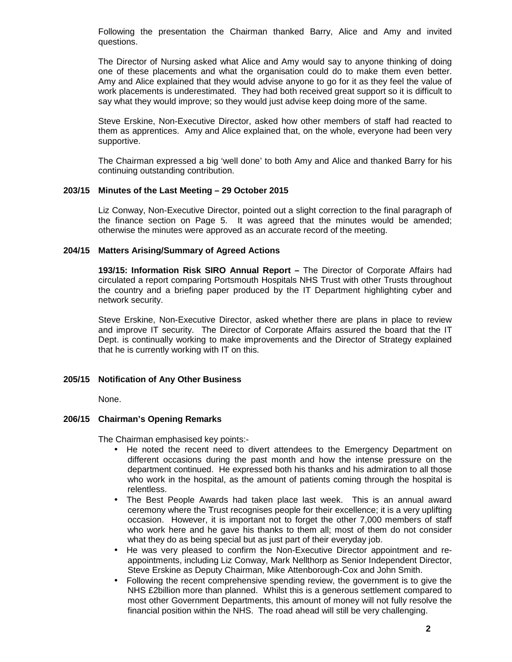Following the presentation the Chairman thanked Barry, Alice and Amy and invited questions.

The Director of Nursing asked what Alice and Amy would say to anyone thinking of doing one of these placements and what the organisation could do to make them even better. Amy and Alice explained that they would advise anyone to go for it as they feel the value of work placements is underestimated. They had both received great support so it is difficult to say what they would improve; so they would just advise keep doing more of the same.

Steve Erskine, Non-Executive Director, asked how other members of staff had reacted to them as apprentices. Amy and Alice explained that, on the whole, everyone had been very supportive.

The Chairman expressed a big 'well done' to both Amy and Alice and thanked Barry for his continuing outstanding contribution.

#### **203/15 Minutes of the Last Meeting – 29 October 2015**

Liz Conway, Non-Executive Director, pointed out a slight correction to the final paragraph of the finance section on Page 5. It was agreed that the minutes would be amended; otherwise the minutes were approved as an accurate record of the meeting.

#### **204/15 Matters Arising/Summary of Agreed Actions**

**193/15: Information Risk SIRO Annual Report –** The Director of Corporate Affairs had circulated a report comparing Portsmouth Hospitals NHS Trust with other Trusts throughout the country and a briefing paper produced by the IT Department highlighting cyber and network security.

Steve Erskine, Non-Executive Director, asked whether there are plans in place to review and improve IT security. The Director of Corporate Affairs assured the board that the IT Dept. is continually working to make improvements and the Director of Strategy explained that he is currently working with IT on this.

# **205/15 Notification of Any Other Business**

None.

# **206/15 Chairman's Opening Remarks**

The Chairman emphasised key points:-

- He noted the recent need to divert attendees to the Emergency Department on different occasions during the past month and how the intense pressure on the department continued. He expressed both his thanks and his admiration to all those who work in the hospital, as the amount of patients coming through the hospital is relentless.
- The Best People Awards had taken place last week. This is an annual award ceremony where the Trust recognises people for their excellence; it is a very uplifting occasion. However, it is important not to forget the other 7,000 members of staff who work here and he gave his thanks to them all; most of them do not consider what they do as being special but as just part of their everyday job.
- He was very pleased to confirm the Non-Executive Director appointment and reappointments, including Liz Conway, Mark Nellthorp as Senior Independent Director, Steve Erskine as Deputy Chairman, Mike Attenborough-Cox and John Smith.
- Following the recent comprehensive spending review, the government is to give the NHS £2billion more than planned. Whilst this is a generous settlement compared to most other Government Departments, this amount of money will not fully resolve the financial position within the NHS. The road ahead will still be very challenging.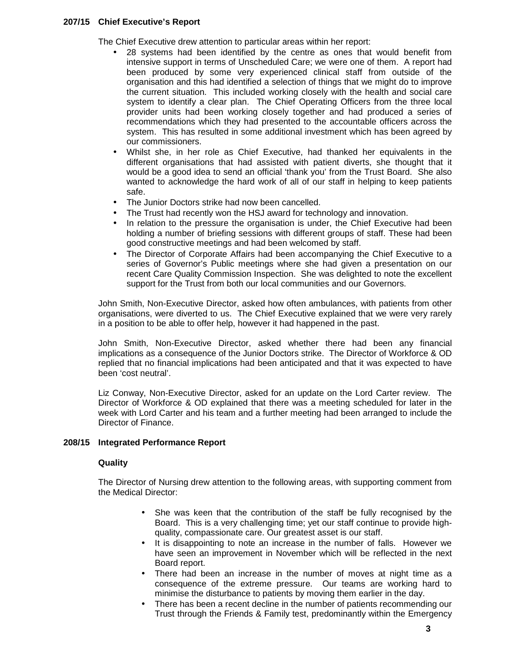## **207/15 Chief Executive's Report**

The Chief Executive drew attention to particular areas within her report:

- 28 systems had been identified by the centre as ones that would benefit from intensive support in terms of Unscheduled Care; we were one of them. A report had been produced by some very experienced clinical staff from outside of the organisation and this had identified a selection of things that we might do to improve the current situation. This included working closely with the health and social care system to identify a clear plan. The Chief Operating Officers from the three local provider units had been working closely together and had produced a series of recommendations which they had presented to the accountable officers across the system. This has resulted in some additional investment which has been agreed by our commissioners.
- Whilst she, in her role as Chief Executive, had thanked her equivalents in the different organisations that had assisted with patient diverts, she thought that it would be a good idea to send an official 'thank you' from the Trust Board. She also wanted to acknowledge the hard work of all of our staff in helping to keep patients safe.
- The Junior Doctors strike had now been cancelled.
- The Trust had recently won the HSJ award for technology and innovation.
- In relation to the pressure the organisation is under, the Chief Executive had been holding a number of briefing sessions with different groups of staff. These had been good constructive meetings and had been welcomed by staff.
- The Director of Corporate Affairs had been accompanying the Chief Executive to a series of Governor's Public meetings where she had given a presentation on our recent Care Quality Commission Inspection. She was delighted to note the excellent support for the Trust from both our local communities and our Governors.

John Smith, Non-Executive Director, asked how often ambulances, with patients from other organisations, were diverted to us. The Chief Executive explained that we were very rarely in a position to be able to offer help, however it had happened in the past.

John Smith, Non-Executive Director, asked whether there had been any financial implications as a consequence of the Junior Doctors strike. The Director of Workforce & OD replied that no financial implications had been anticipated and that it was expected to have been 'cost neutral'.

Liz Conway, Non-Executive Director, asked for an update on the Lord Carter review. The Director of Workforce & OD explained that there was a meeting scheduled for later in the week with Lord Carter and his team and a further meeting had been arranged to include the Director of Finance.

# **208/15 Integrated Performance Report**

# **Quality**

The Director of Nursing drew attention to the following areas, with supporting comment from the Medical Director:

- She was keen that the contribution of the staff be fully recognised by the Board. This is a very challenging time; yet our staff continue to provide highquality, compassionate care. Our greatest asset is our staff.
- It is disappointing to note an increase in the number of falls. However we have seen an improvement in November which will be reflected in the next Board report.
- There had been an increase in the number of moves at night time as a consequence of the extreme pressure. Our teams are working hard to minimise the disturbance to patients by moving them earlier in the day.
- There has been a recent decline in the number of patients recommending our Trust through the Friends & Family test, predominantly within the Emergency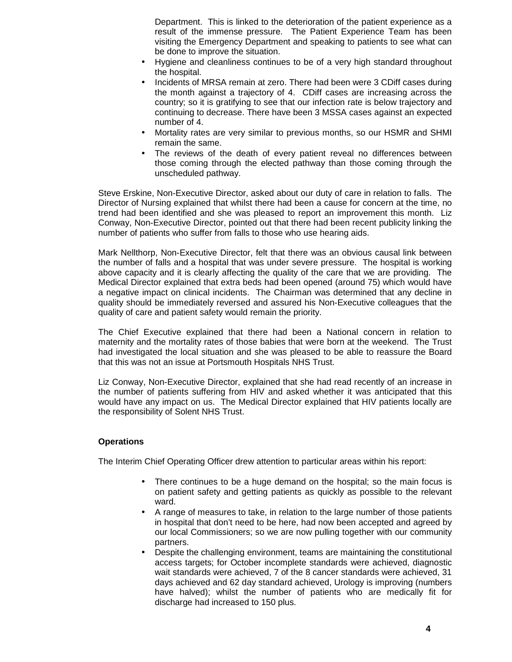Department. This is linked to the deterioration of the patient experience as a result of the immense pressure. The Patient Experience Team has been visiting the Emergency Department and speaking to patients to see what can be done to improve the situation.

- Hygiene and cleanliness continues to be of a very high standard throughout the hospital.
- Incidents of MRSA remain at zero. There had been were 3 CDiff cases during the month against a trajectory of 4. CDiff cases are increasing across the country; so it is gratifying to see that our infection rate is below trajectory and continuing to decrease. There have been 3 MSSA cases against an expected number of 4.
- Mortality rates are very similar to previous months, so our HSMR and SHMI remain the same.
- The reviews of the death of every patient reveal no differences between those coming through the elected pathway than those coming through the unscheduled pathway.

Steve Erskine, Non-Executive Director, asked about our duty of care in relation to falls. The Director of Nursing explained that whilst there had been a cause for concern at the time, no trend had been identified and she was pleased to report an improvement this month. Liz Conway, Non-Executive Director, pointed out that there had been recent publicity linking the number of patients who suffer from falls to those who use hearing aids.

Mark Nellthorp, Non-Executive Director, felt that there was an obvious causal link between the number of falls and a hospital that was under severe pressure. The hospital is working above capacity and it is clearly affecting the quality of the care that we are providing. The Medical Director explained that extra beds had been opened (around 75) which would have a negative impact on clinical incidents. The Chairman was determined that any decline in quality should be immediately reversed and assured his Non-Executive colleagues that the quality of care and patient safety would remain the priority.

The Chief Executive explained that there had been a National concern in relation to maternity and the mortality rates of those babies that were born at the weekend. The Trust had investigated the local situation and she was pleased to be able to reassure the Board that this was not an issue at Portsmouth Hospitals NHS Trust.

Liz Conway, Non-Executive Director, explained that she had read recently of an increase in the number of patients suffering from HIV and asked whether it was anticipated that this would have any impact on us. The Medical Director explained that HIV patients locally are the responsibility of Solent NHS Trust.

# **Operations**

The Interim Chief Operating Officer drew attention to particular areas within his report:

- There continues to be a huge demand on the hospital; so the main focus is on patient safety and getting patients as quickly as possible to the relevant ward.
- A range of measures to take, in relation to the large number of those patients in hospital that don't need to be here, had now been accepted and agreed by our local Commissioners; so we are now pulling together with our community partners.
- Despite the challenging environment, teams are maintaining the constitutional access targets; for October incomplete standards were achieved, diagnostic wait standards were achieved, 7 of the 8 cancer standards were achieved, 31 days achieved and 62 day standard achieved, Urology is improving (numbers have halved); whilst the number of patients who are medically fit for discharge had increased to 150 plus.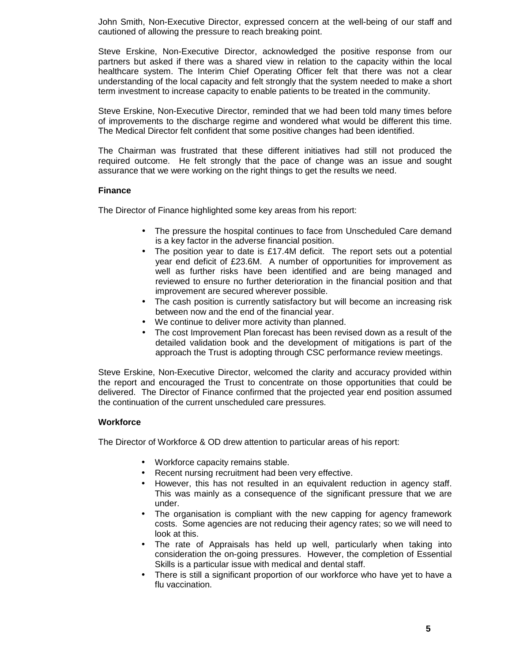John Smith, Non-Executive Director, expressed concern at the well-being of our staff and cautioned of allowing the pressure to reach breaking point.

Steve Erskine, Non-Executive Director, acknowledged the positive response from our partners but asked if there was a shared view in relation to the capacity within the local healthcare system. The Interim Chief Operating Officer felt that there was not a clear understanding of the local capacity and felt strongly that the system needed to make a short term investment to increase capacity to enable patients to be treated in the community.

Steve Erskine, Non-Executive Director, reminded that we had been told many times before of improvements to the discharge regime and wondered what would be different this time. The Medical Director felt confident that some positive changes had been identified.

The Chairman was frustrated that these different initiatives had still not produced the required outcome. He felt strongly that the pace of change was an issue and sought assurance that we were working on the right things to get the results we need.

# **Finance**

The Director of Finance highlighted some key areas from his report:

- The pressure the hospital continues to face from Unscheduled Care demand is a key factor in the adverse financial position.
- The position year to date is £17.4M deficit. The report sets out a potential year end deficit of £23.6M. A number of opportunities for improvement as well as further risks have been identified and are being managed and reviewed to ensure no further deterioration in the financial position and that improvement are secured wherever possible.
- The cash position is currently satisfactory but will become an increasing risk between now and the end of the financial year.
- We continue to deliver more activity than planned.
- The cost Improvement Plan forecast has been revised down as a result of the detailed validation book and the development of mitigations is part of the approach the Trust is adopting through CSC performance review meetings.

Steve Erskine, Non-Executive Director, welcomed the clarity and accuracy provided within the report and encouraged the Trust to concentrate on those opportunities that could be delivered. The Director of Finance confirmed that the projected year end position assumed the continuation of the current unscheduled care pressures.

# **Workforce**

The Director of Workforce & OD drew attention to particular areas of his report:

- Workforce capacity remains stable.
- Recent nursing recruitment had been very effective.
- However, this has not resulted in an equivalent reduction in agency staff. This was mainly as a consequence of the significant pressure that we are under.
- The organisation is compliant with the new capping for agency framework costs. Some agencies are not reducing their agency rates; so we will need to look at this.
- The rate of Appraisals has held up well, particularly when taking into consideration the on-going pressures. However, the completion of Essential Skills is a particular issue with medical and dental staff.
- There is still a significant proportion of our workforce who have yet to have a flu vaccination.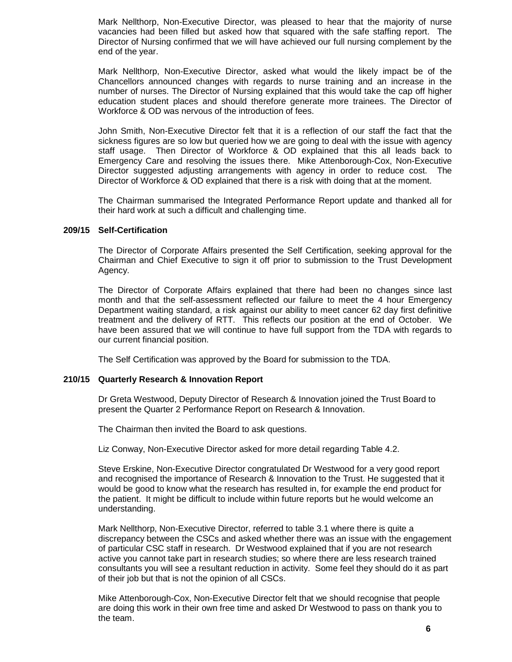Mark Nellthorp, Non-Executive Director, was pleased to hear that the majority of nurse vacancies had been filled but asked how that squared with the safe staffing report. The Director of Nursing confirmed that we will have achieved our full nursing complement by the end of the year.

Mark Nellthorp, Non-Executive Director, asked what would the likely impact be of the Chancellors announced changes with regards to nurse training and an increase in the number of nurses. The Director of Nursing explained that this would take the cap off higher education student places and should therefore generate more trainees. The Director of Workforce & OD was nervous of the introduction of fees.

John Smith, Non-Executive Director felt that it is a reflection of our staff the fact that the sickness figures are so low but queried how we are going to deal with the issue with agency staff usage. Then Director of Workforce & OD explained that this all leads back to Emergency Care and resolving the issues there. Mike Attenborough-Cox, Non-Executive Director suggested adjusting arrangements with agency in order to reduce cost. The Director of Workforce & OD explained that there is a risk with doing that at the moment.

The Chairman summarised the Integrated Performance Report update and thanked all for their hard work at such a difficult and challenging time.

### **209/15 Self-Certification**

The Director of Corporate Affairs presented the Self Certification, seeking approval for the Chairman and Chief Executive to sign it off prior to submission to the Trust Development Agency.

The Director of Corporate Affairs explained that there had been no changes since last month and that the self-assessment reflected our failure to meet the 4 hour Emergency Department waiting standard, a risk against our ability to meet cancer 62 day first definitive treatment and the delivery of RTT. This reflects our position at the end of October. We have been assured that we will continue to have full support from the TDA with regards to our current financial position.

The Self Certification was approved by the Board for submission to the TDA.

#### **210/15 Quarterly Research & Innovation Report**

Dr Greta Westwood, Deputy Director of Research & Innovation joined the Trust Board to present the Quarter 2 Performance Report on Research & Innovation.

The Chairman then invited the Board to ask questions.

Liz Conway, Non-Executive Director asked for more detail regarding Table 4.2.

Steve Erskine, Non-Executive Director congratulated Dr Westwood for a very good report and recognised the importance of Research & Innovation to the Trust. He suggested that it would be good to know what the research has resulted in, for example the end product for the patient. It might be difficult to include within future reports but he would welcome an understanding.

Mark Nellthorp, Non-Executive Director, referred to table 3.1 where there is quite a discrepancy between the CSCs and asked whether there was an issue with the engagement of particular CSC staff in research. Dr Westwood explained that if you are not research active you cannot take part in research studies; so where there are less research trained consultants you will see a resultant reduction in activity. Some feel they should do it as part of their job but that is not the opinion of all CSCs.

Mike Attenborough-Cox, Non-Executive Director felt that we should recognise that people are doing this work in their own free time and asked Dr Westwood to pass on thank you to the team.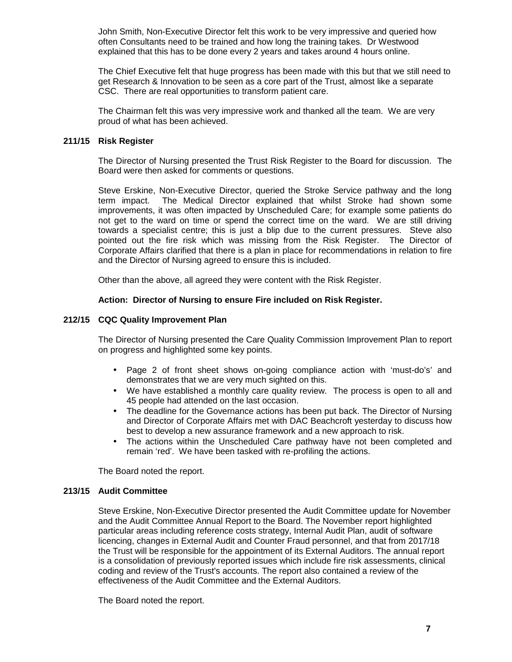John Smith, Non-Executive Director felt this work to be very impressive and queried how often Consultants need to be trained and how long the training takes. Dr Westwood explained that this has to be done every 2 years and takes around 4 hours online.

The Chief Executive felt that huge progress has been made with this but that we still need to get Research & Innovation to be seen as a core part of the Trust, almost like a separate CSC. There are real opportunities to transform patient care.

The Chairman felt this was very impressive work and thanked all the team. We are very proud of what has been achieved.

# **211/15 Risk Register**

The Director of Nursing presented the Trust Risk Register to the Board for discussion. The Board were then asked for comments or questions.

Steve Erskine, Non-Executive Director, queried the Stroke Service pathway and the long term impact. The Medical Director explained that whilst Stroke had shown some improvements, it was often impacted by Unscheduled Care; for example some patients do not get to the ward on time or spend the correct time on the ward. We are still driving towards a specialist centre; this is just a blip due to the current pressures. Steve also pointed out the fire risk which was missing from the Risk Register. The Director of Corporate Affairs clarified that there is a plan in place for recommendations in relation to fire and the Director of Nursing agreed to ensure this is included.

Other than the above, all agreed they were content with the Risk Register.

# **Action: Director of Nursing to ensure Fire included on Risk Register.**

# **212/15 CQC Quality Improvement Plan**

The Director of Nursing presented the Care Quality Commission Improvement Plan to report on progress and highlighted some key points.

- Page 2 of front sheet shows on-going compliance action with 'must-do's' and demonstrates that we are very much sighted on this.
- We have established a monthly care quality review. The process is open to all and 45 people had attended on the last occasion.
- The deadline for the Governance actions has been put back. The Director of Nursing and Director of Corporate Affairs met with DAC Beachcroft yesterday to discuss how best to develop a new assurance framework and a new approach to risk.
- The actions within the Unscheduled Care pathway have not been completed and remain 'red'. We have been tasked with re-profiling the actions.

The Board noted the report.

#### **213/15 Audit Committee**

Steve Erskine, Non-Executive Director presented the Audit Committee update for November and the Audit Committee Annual Report to the Board. The November report highlighted particular areas including reference costs strategy, Internal Audit Plan, audit of software licencing, changes in External Audit and Counter Fraud personnel, and that from 2017/18 the Trust will be responsible for the appointment of its External Auditors. The annual report is a consolidation of previously reported issues which include fire risk assessments, clinical coding and review of the Trust's accounts. The report also contained a review of the effectiveness of the Audit Committee and the External Auditors.

The Board noted the report.